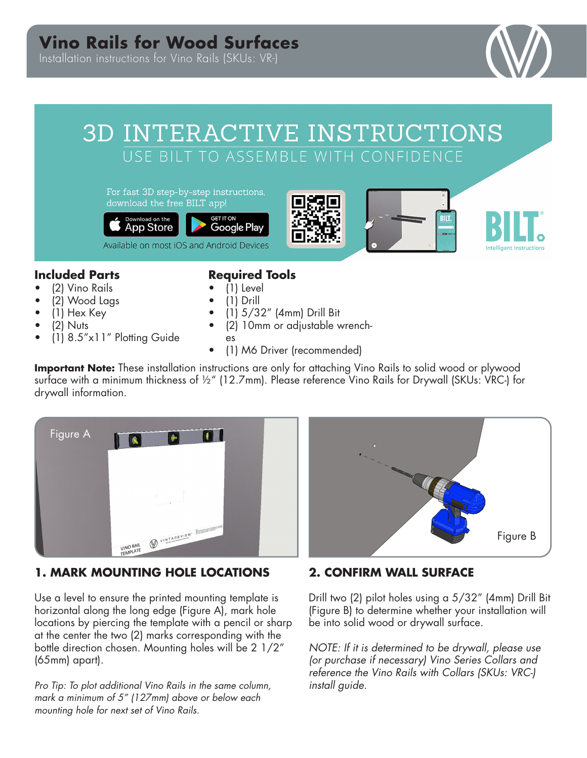## **Vino Rails for Wood Surfaces**

Installation instructions for Vino Rails (SKUs: VR-)



# 3D INTERACTIVE INSTRUCTIONS USE BILT TO ASSEMBLE WITH CONFIDENCE

For fast 3D step-by-step instructions, download the free BILT app!









## **Included Parts**

- (2) Vino Rails
- (2) Wood Lags
- (1) Hex Key
- (2) Nuts
- (1) 8.5"x11" Plotting Guide

#### **Required Tools**

- (1) Level
- (1) Drill
- (1) 5/32" (4mm) Drill Bit
- (2) 10mm or adjustable wrench-
- es
- (1) M6 Driver (recommended)

**Important Note:** These installation instructions are only for attaching Vino Rails to solid wood or plywood surface with a minimum thickness of ½" (12.7mm). Please reference Vino Rails for Drywall (SKUs: VRC-) for drywall information.



## **1. MARK MOUNTING HOLE LOCATIONS**

Use a level to ensure the printed mounting template is horizontal along the long edge (Figure A), mark hole locations by piercing the template with a pencil or sharp at the center the two (2) marks corresponding with the bottle direction chosen. Mounting holes will be 2 1/2" (65mm) apart).

*Pro Tip: To plot additional Vino Rails in the same column, mark a minimum of 5" (127mm) above or below each mounting hole for next set of Vino Rails.* 



## **2. CONFIRM WALL SURFACE**

Drill two (2) pilot holes using a 5/32" (4mm) Drill Bit (Figure B) to determine whether your installation will be into solid wood or drywall surface.

*NOTE: If it is determined to be drywall, please use (or purchase if necessary) Vino Series Collars and reference the Vino Rails with Collars (SKUs: VRC-) install guide.*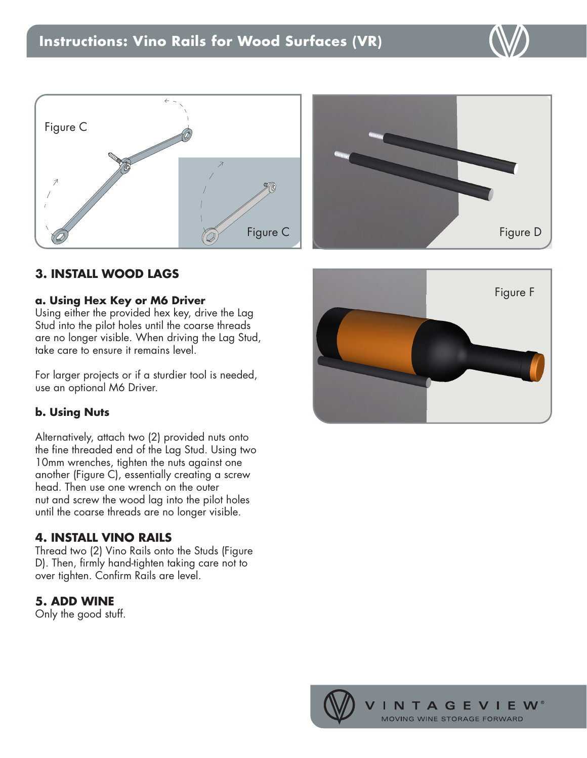





## **3. INSTALL WOOD LAGS**

#### **a. Using Hex Key or M6 Driver**

Using either the provided hex key, drive the Lag Stud into the pilot holes until the coarse threads are no longer visible. When driving the Lag Stud, take care to ensure it remains level.

For larger projects or if a sturdier tool is needed, use an optional M6 Driver.

#### **b. Using Nuts**

Alternatively, attach two (2) provided nuts onto the fine threaded end of the Lag Stud. Using two 10mm wrenches, tighten the nuts against one another (Figure C), essentially creating a screw head. Then use one wrench on the outer nut and screw the wood lag into the pilot holes until the coarse threads are no longer visible.

#### **4. INSTALL VINO RAILS**

Thread two (2) Vino Rails onto the Studs (Figure D). Then, firmly hand-tighten taking care not to over tighten. Confirm Rails are level.

## **5. ADD WINE**

Only the good stuff.